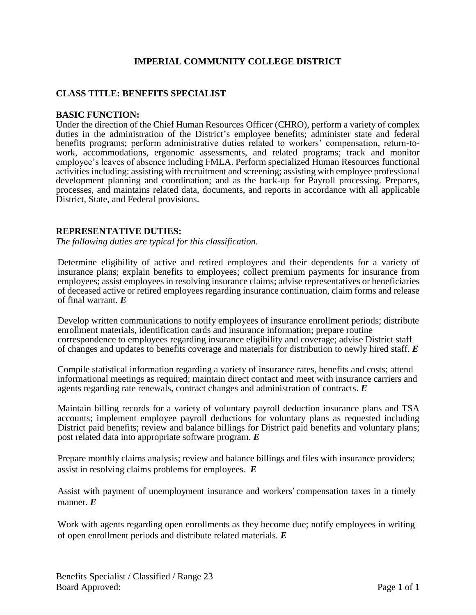## **IMPERIAL COMMUNITY COLLEGE DISTRICT**

### **CLASS TITLE: BENEFITS SPECIALIST**

#### **BASIC FUNCTION:**

Under the direction of the Chief Human Resources Officer (CHRO), perform a variety of complex duties in the administration of the District's employee benefits; administer state and federal benefits programs; perform administrative duties related to workers' compensation, return-towork, accommodations, ergonomic assessments, and related programs; track and monitor employee's leaves of absence including FMLA. Perform specialized Human Resources functional activities including: assisting with recruitment and screening; assisting with employee professional development planning and coordination; and as the back-up for Payroll processing. Prepares, processes, and maintains related data, documents, and reports in accordance with all applicable District, State, and Federal provisions.

#### **REPRESENTATIVE DUTIES:**

*The following duties are typical for this classification.*

Determine eligibility of active and retired employees and their dependents for a variety of insurance plans; explain benefits to employees; collect premium payments for insurance from employees; assist employees in resolving insurance claims; advise representatives or beneficiaries of deceased active or retired employees regarding insurance continuation, claim forms and release of final warrant. *E*

Develop written communications to notify employees of insurance enrollment periods; distribute enrollment materials, identification cards and insurance information; prepare routine correspondence to employees regarding insurance eligibility and coverage; advise District staff of changes and updates to benefits coverage and materials for distribution to newly hired staff. *E*

Compile statistical information regarding a variety of insurance rates, benefits and costs; attend informational meetings as required; maintain direct contact and meet with insurance carriers and agents regarding rate renewals, contract changes and administration of contracts. *E*

Maintain billing records for a variety of voluntary payroll deduction insurance plans and TSA accounts; implement employee payroll deductions for voluntary plans as requested including District paid benefits; review and balance billings for District paid benefits and voluntary plans; post related data into appropriate software program. *E*

Prepare monthly claims analysis; review and balance billings and files with insurance providers; assist in resolving claims problems for employees. *E*

Assist with payment of unemployment insurance and workers' compensation taxes in a timely manner. *E*

Work with agents regarding open enrollments as they become due; notify employees in writing of open enrollment periods and distribute related materials. *E*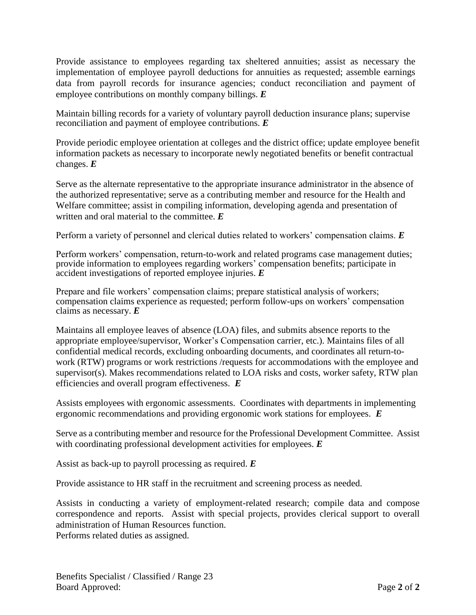Provide assistance to employees regarding tax sheltered annuities; assist as necessary the implementation of employee payroll deductions for annuities as requested; assemble earnings data from payroll records for insurance agencies; conduct reconciliation and payment of employee contributions on monthly company billings. *E*

Maintain billing records for a variety of voluntary payroll deduction insurance plans; supervise reconciliation and payment of employee contributions. *E*

Provide periodic employee orientation at colleges and the district office; update employee benefit information packets as necessary to incorporate newly negotiated benefits or benefit contractual changes. *E*

Serve as the alternate representative to the appropriate insurance administrator in the absence of the authorized representative; serve as a contributing member and resource for the Health and Welfare committee; assist in compiling information, developing agenda and presentation of written and oral material to the committee. *E*

Perform a variety of personnel and clerical duties related to workers' compensation claims. *E*

Perform workers' compensation, return-to-work and related programs case management duties; provide information to employees regarding workers' compensation benefits; participate in accident investigations of reported employee injuries. *E*

Prepare and file workers' compensation claims; prepare statistical analysis of workers; compensation claims experience as requested; perform follow-ups on workers' compensation claims as necessary. *E*

Maintains all employee leaves of absence (LOA) files, and submits absence reports to the appropriate employee/supervisor, Worker's Compensation carrier, etc.). Maintains files of all confidential medical records, excluding onboarding documents, and coordinates all return-towork (RTW) programs or work restrictions /requests for accommodations with the employee and supervisor(s). Makes recommendations related to LOA risks and costs, worker safety, RTW plan efficiencies and overall program effectiveness. *E*

Assists employees with ergonomic assessments. Coordinates with departments in implementing ergonomic recommendations and providing ergonomic work stations for employees. *E*

Serve as a contributing member and resource for the Professional Development Committee. Assist with coordinating professional development activities for employees. *E*

Assist as back-up to payroll processing as required. *E*

Provide assistance to HR staff in the recruitment and screening process as needed.

Assists in conducting a variety of employment-related research; compile data and compose correspondence and reports. Assist with special projects, provides clerical support to overall administration of Human Resources function. Performs related duties as assigned.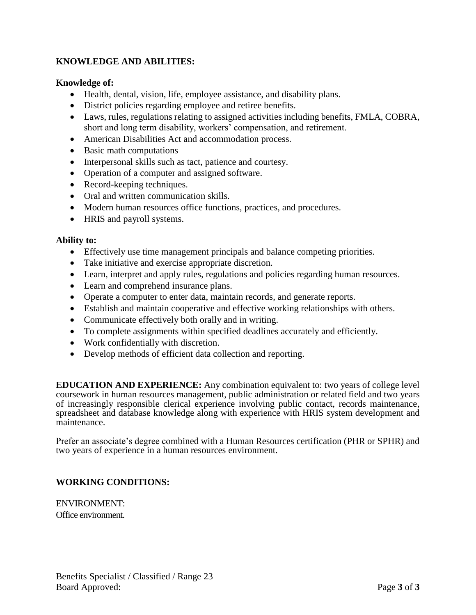# **KNOWLEDGE AND ABILITIES:**

### **Knowledge of:**

- Health, dental, vision, life, employee assistance, and disability plans.
- District policies regarding employee and retiree benefits.
- Laws, rules, regulations relating to assigned activities including benefits, FMLA, COBRA, short and long term disability, workers' compensation, and retirement.
- American Disabilities Act and accommodation process.
- Basic math computations
- Interpersonal skills such as tact, patience and courtesy.
- Operation of a computer and assigned software.
- Record-keeping techniques.
- Oral and written communication skills.
- Modern human resources office functions, practices, and procedures.
- HRIS and payroll systems.

#### **Ability to:**

- Effectively use time management principals and balance competing priorities.
- Take initiative and exercise appropriate discretion.
- Learn, interpret and apply rules, regulations and policies regarding human resources.
- Learn and comprehend insurance plans.
- Operate a computer to enter data, maintain records, and generate reports.
- Establish and maintain cooperative and effective working relationships with others.
- Communicate effectively both orally and in writing.
- To complete assignments within specified deadlines accurately and efficiently.
- Work confidentially with discretion.
- Develop methods of efficient data collection and reporting.

**EDUCATION AND EXPERIENCE:** Any combination equivalent to: two years of college level coursework in human resources management, public administration or related field and two years of increasingly responsible clerical experience involving public contact, records maintenance, spreadsheet and database knowledge along with experience with HRIS system development and maintenance.

Prefer an associate's degree combined with a Human Resources certification (PHR or SPHR) and two years of experience in a human resources environment.

## **WORKING CONDITIONS:**

ENVIRONMENT: Office environment.